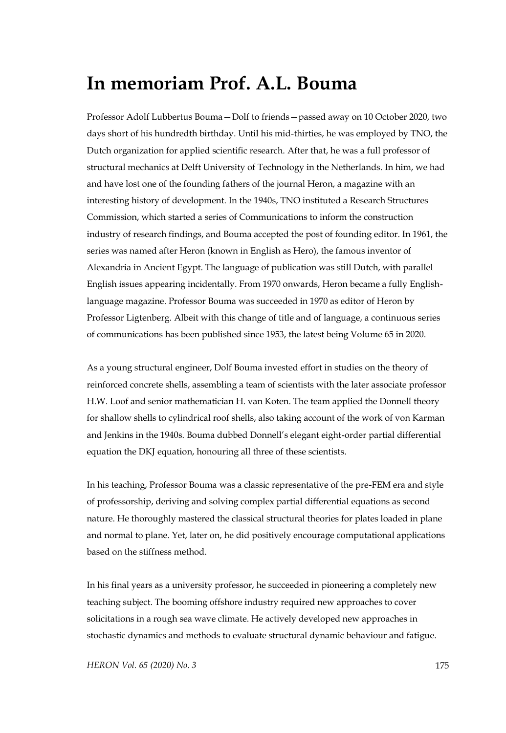## **In memoriam Prof. A.L. Bouma**

Professor Adolf Lubbertus Bouma—Dolf to friends—passed away on 10 October 2020, two days short of his hundredth birthday. Until his mid-thirties, he was employed by TNO, the Dutch organization for applied scientific research. After that, he was a full professor of structural mechanics at Delft University of Technology in the Netherlands. In him, we had and have lost one of the founding fathers of the journal Heron, a magazine with an interesting history of development. In the 1940s, TNO instituted a Research Structures Commission, which started a series of Communications to inform the construction industry of research findings, and Bouma accepted the post of founding editor. In 1961, the series was named after Heron (known in English as Hero), the famous inventor of Alexandria in Ancient Egypt. The language of publication was still Dutch, with parallel English issues appearing incidentally. From 1970 onwards, Heron became a fully Englishlanguage magazine. Professor Bouma was succeeded in 1970 as editor of Heron by Professor Ligtenberg. Albeit with this change of title and of language, a continuous series of communications has been published since 1953, the latest being Volume 65 in 2020.

As a young structural engineer, Dolf Bouma invested effort in studies on the theory of reinforced concrete shells, assembling a team of scientists with the later associate professor H.W. Loof and senior mathematician H. van Koten. The team applied the Donnell theory for shallow shells to cylindrical roof shells, also taking account of the work of von Karman and Jenkins in the 1940s. Bouma dubbed Donnell's elegant eight-order partial differential equation the DKJ equation, honouring all three of these scientists.

In his teaching, Professor Bouma was a classic representative of the pre-FEM era and style of professorship, deriving and solving complex partial differential equations as second nature. He thoroughly mastered the classical structural theories for plates loaded in plane and normal to plane. Yet, later on, he did positively encourage computational applications based on the stiffness method.

In his final years as a university professor, he succeeded in pioneering a completely new teaching subject. The booming offshore industry required new approaches to cover solicitations in a rough sea wave climate. He actively developed new approaches in stochastic dynamics and methods to evaluate structural dynamic behaviour and fatigue.